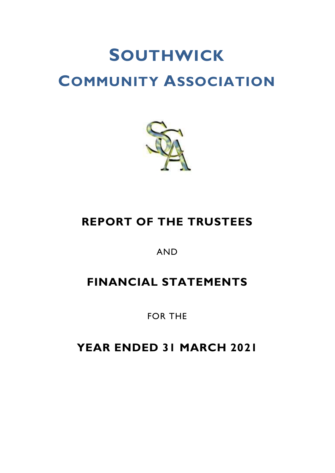

# **REPORT OF THE TRUSTEES**

AND

# **FINANCIAL STATEMENTS**

FOR THE

**YEAR ENDED 31 MARCH 2021**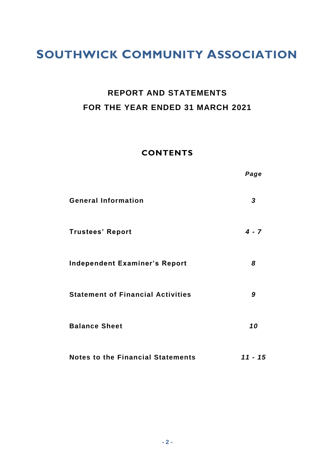# **REPORT AND STATEMENTS FOR THE YEAR ENDED 31 MARCH 2021**

## **CONTENTS**

|                                          | Page      |
|------------------------------------------|-----------|
| <b>General Information</b>               | 3         |
| <b>Trustees' Report</b>                  | $4 - 7$   |
| <b>Independent Examiner's Report</b>     | 8         |
| <b>Statement of Financial Activities</b> | 9         |
| <b>Balance Sheet</b>                     | 10        |
| <b>Notes to the Financial Statements</b> | $11 - 15$ |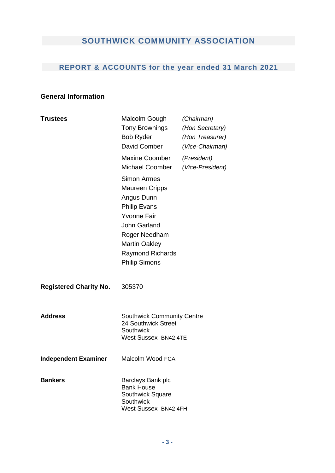# **REPORT & ACCOUNTS for the year ended 31 March 2021**

### **General Information**

| <b>Trustees</b>               | Malcolm Gough<br>Tony Brownings<br><b>Bob Ryder</b><br>David Comber                                                                                                                                                | (Chairman)<br>(Hon Secretary)<br>(Hon Treasurer)<br>(Vice-Chairman) |
|-------------------------------|--------------------------------------------------------------------------------------------------------------------------------------------------------------------------------------------------------------------|---------------------------------------------------------------------|
|                               | Maxine Coomber<br>Michael Coomber                                                                                                                                                                                  | (President)<br>(Vice-President)                                     |
|                               | <b>Simon Armes</b><br><b>Maureen Cripps</b><br>Angus Dunn<br><b>Philip Evans</b><br><b>Yvonne Fair</b><br>John Garland<br>Roger Needham<br><b>Martin Oakley</b><br><b>Raymond Richards</b><br><b>Philip Simons</b> |                                                                     |
| <b>Registered Charity No.</b> | 305370                                                                                                                                                                                                             |                                                                     |
| <b>Address</b>                | <b>Southwick Community Centre</b><br>24 Southwick Street<br>Southwick<br><b>West Sussex BN42 4TE</b>                                                                                                               |                                                                     |
| <b>Independent Examiner</b>   | Malcolm Wood FCA                                                                                                                                                                                                   |                                                                     |
| <b>Bankers</b>                | Barclays Bank plc<br><b>Bank House</b><br>Southwick Square<br>Southwick<br>West Sussex BN42 4FH                                                                                                                    |                                                                     |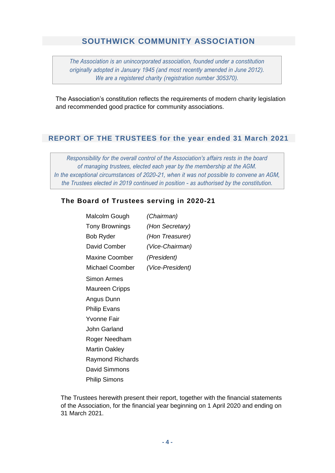*The Association is an unincorporated association, founded under a constitution originally adopted in January 1945 (and most recently amended in June 2012). We are a registered charity (registration number 305370).*

The Association's constitution reflects the requirements of modern charity legislation and recommended good practice for community associations.

#### **REPORT OF THE TRUSTEES for the year ended 31 March 2021**

*Responsibility for the overall control of the Association's affairs rests in the board of managing trustees, elected each year by the membership at the AGM. In the exceptional circumstances of 2020-21, when it was not possible to convene an AGM, the Trustees elected in 2019 continued in position - as authorised by the constitution.*

#### **The Board of Trustees serving in 2020-21**

| Malcolm Gough         | (Chairman)       |
|-----------------------|------------------|
| Tony Brownings        | (Hon Secretary)  |
| Bob Ryder             | (Hon Treasurer)  |
| David Comber          | (Vice-Chairman)  |
| Maxine Coomber        | (President)      |
| Michael Coomber       | (Vice-President) |
| Simon Armes           |                  |
| <b>Maureen Cripps</b> |                  |
| Angus Dunn            |                  |
| <b>Philip Evans</b>   |                  |
| <b>Yvonne Fair</b>    |                  |
| John Garland          |                  |
| Roger Needham         |                  |
| <b>Martin Oakley</b>  |                  |
| Raymond Richards      |                  |
| David Simmons         |                  |
| Philip Simons         |                  |

The Trustees herewith present their report, together with the financial statements of the Association, for the financial year beginning on 1 April 2020 and ending on 31 March 2021.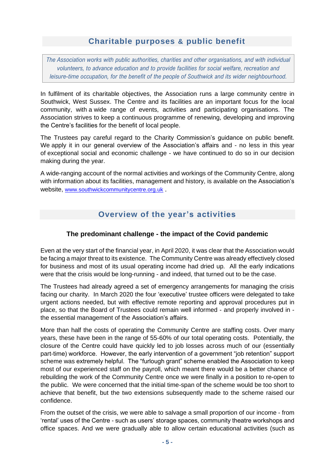## **Charitable purposes & public benefit**

*The Association works with public authorities, charities and other organisations, and with individual volunteers, to advance education and to provide facilities for social welfare, recreation and leisure-time occupation, for the benefit of the people of Southwick and its wider neighbourhood.*

In fulfilment of its charitable objectives, the Association runs a large community centre in Southwick, West Sussex. The Centre and its facilities are an important focus for the local community, with a wide range of events, activities and participating organisations. The Association strives to keep a continuous programme of renewing, developing and improving the Centre's facilities for the benefit of local people.

The Trustees pay careful regard to the Charity Commission's guidance on public benefit. We apply it in our general overview of the Association's affairs and - no less in this year of exceptional social and economic challenge - we have continued to do so in our decision making during the year.

A wide-ranging account of the normal activities and workings of the Community Centre, along with information about its facilities, management and history, is available on the Association's website, [www.southwickcommunitycentre.org.uk](https://www.southwickcommunitycentre.org.uk/index.html) .

# **Overview of the year's activities**

### **The predominant challenge - the impact of the Covid pandemic**

Even at the very start of the financial year, in April 2020, it was clear that the Association would be facing a major threat to its existence. The Community Centre was already effectively closed for business and most of its usual operating income had dried up. All the early indications were that the crisis would be long-running - and indeed, that turned out to be the case.

The Trustees had already agreed a set of emergency arrangements for managing the crisis facing our charity. In March 2020 the four 'executive' trustee officers were delegated to take urgent actions needed, but with effective remote reporting and approval procedures put in place, so that the Board of Trustees could remain well informed - and properly involved in the essential management of the Association's affairs.

More than half the costs of operating the Community Centre are staffing costs. Over many years, these have been in the range of 55-60% of our total operating costs. Potentially, the closure of the Centre could have quickly led to job losses across much of our (essentially part-time) workforce. However, the early intervention of a government "job retention" support scheme was extremely helpful. The "furlough grant" scheme enabled the Association to keep most of our experienced staff on the payroll, which meant there would be a better chance of rebuilding the work of the Community Centre once we were finally in a position to re-open to the public. We were concerned that the initial time-span of the scheme would be too short to achieve that benefit, but the two extensions subsequently made to the scheme raised our confidence.

From the outset of the crisis, we were able to salvage a small proportion of our income - from 'rental' uses of the Centre - such as users' storage spaces, community theatre workshops and office spaces. And we were gradually able to allow certain educational activities (such as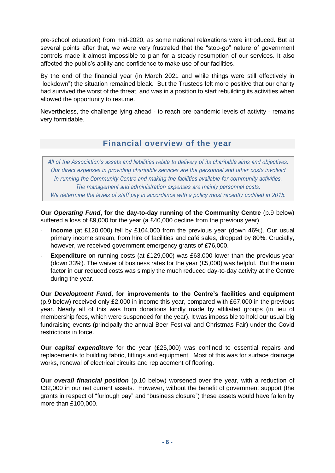pre-school education) from mid-2020, as some national relaxations were introduced. But at several points after that, we were very frustrated that the "stop-go" nature of government controls made it almost impossible to plan for a steady resumption of our services. It also affected the public's ability and confidence to make use of our facilities.

By the end of the financial year (in March 2021 and while things were still effectively in "lockdown") the situation remained bleak. But the Trustees felt more positive that our charity had survived the worst of the threat, and was in a position to start rebuilding its activities when allowed the opportunity to resume.

Nevertheless, the challenge lying ahead - to reach pre-pandemic levels of activity - remains very formidable.

# **Financial overview of the year**

All of the Association's assets and liabilities relate to delivery of its charitable aims and objectives. *Our direct expenses in providing charitable services are the personnel and other costs involved in running the Community Centre and making the facilities available for community activities. The management and administration expenses are mainly personnel costs. We determine the levels of staff pay in accordance with a policy most recently codified in 2015.*

**Our** *Operating Fund***, for the day-to-day running of the Community Centre** (p.9 below) suffered a loss of £9,000 for the year (a £40,000 decline from the previous year).

- Income (at £120,000) fell by £104,000 from the previous year (down 46%). Our usual primary income stream, from hire of facilities and café sales, dropped by 80%. Crucially, however, we received government emergency grants of £76,000.
- **Expenditure** on running costs (at £129,000) was £63,000 lower than the previous year (down 33%). The waiver of business rates for the year (£5,000) was helpful. But the main factor in our reduced costs was simply the much reduced day-to-day activity at the Centre during the year.

**Our** *Development Fund***, for improvements to the Centre's facilities and equipment** (p.9 below) received only £2,000 in income this year, compared with £67,000 in the previous year. Nearly all of this was from donations kindly made by affiliated groups (in lieu of membership fees, which were suspended for the year). It was impossible to hold our usual big fundraising events (principally the annual Beer Festival and Christmas Fair) under the Covid restrictions in force.

**Our** *capital expenditure* for the year (£25,000) was confined to essential repairs and replacements to building fabric, fittings and equipment. Most of this was for surface drainage works, renewal of electrical circuits and replacement of flooring.

**Our** *overall financial position* (p.10 below) worsened over the year, with a reduction of £32,000 in our net current assets. However, without the benefit of government support (the grants in respect of "furlough pay" and "business closure") these assets would have fallen by more than £100,000.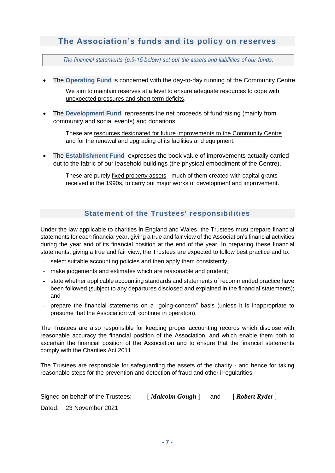### **The Association's funds and its policy on reserves**

*The financial statements (p.9-15 below) set out the assets and liabilities of our funds.*

- The **Operating Fund** is concerned with the day-to-day running of the Community Centre. We aim to maintain reserves at a level to ensure adequate resources to cope with unexpected pressures and short-term deficits.
- The **Development Fund** represents the net proceeds of fundraising (mainly from community and social events) and donations.

These are resources designated for future improvements to the Community Centre and for the renewal and upgrading of its facilities and equipment.

• The **Establishment Fund** expresses the book value of improvements actually carried out to the fabric of our leasehold buildings (the physical embodiment of the Centre).

These are purely fixed property assets - much of them created with capital grants received in the 1990s, to carry out major works of development and improvement.

#### **Statement of the Trustees' responsibilities**

Under the law applicable to charities in England and Wales, the Trustees must prepare financial statements for each financial year, giving a true and fair view of the Association's financial activities during the year and of its financial position at the end of the year. In preparing these financial statements, giving a true and fair view, the Trustees are expected to follow best practice and to:

- select suitable accounting policies and then apply them consistently;
- make judgements and estimates which are reasonable and prudent;
- state whether applicable accounting standards and statements of recommended practice have been followed (subject to any departures disclosed and explained in the financial statements); and
- prepare the financial statements on a "going-concern" basis (unless it is inappropriate to presume that the Association will continue in operation).

The Trustees are also responsible for keeping proper accounting records which disclose with reasonable accuracy the financial position of the Association, and which enable them both to ascertain the financial position of the Association and to ensure that the financial statements comply with the Charities Act 2011.

The Trustees are responsible for safeguarding the assets of the charity - and hence for taking reasonable steps for the prevention and detection of fraud and other irregularities.

| Signed on behalf of the Trustees: | [ <i>Malcolm Gough</i> ] | and | [ Robert Ryder ] |
|-----------------------------------|--------------------------|-----|------------------|
| Dated: 23 November 2021           |                          |     |                  |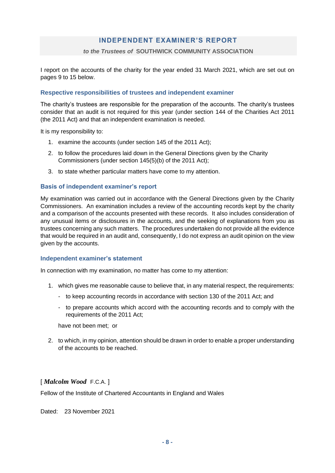#### **INDEPENDENT EXAMINER'S REPORT**

#### *to the Trustees of* **SOUTHWICK COMMUNITY ASSOCIATION**

I report on the accounts of the charity for the year ended 31 March 2021, which are set out on pages 9 to 15 below.

#### **Respective responsibilities of trustees and independent examiner**

The charity's trustees are responsible for the preparation of the accounts. The charity's trustees consider that an audit is not required for this year (under section 144 of the Charities Act 2011 (the 2011 Act) and that an independent examination is needed.

It is my responsibility to:

- 1. examine the accounts (under section 145 of the 2011 Act);
- 2. to follow the procedures laid down in the General Directions given by the Charity Commissioners (under section 145(5)(b) of the 2011 Act);
- 3. to state whether particular matters have come to my attention.

#### **Basis of independent examiner's report**

My examination was carried out in accordance with the General Directions given by the Charity Commissioners. An examination includes a review of the accounting records kept by the charity and a comparison of the accounts presented with these records. It also includes consideration of any unusual items or disclosures in the accounts, and the seeking of explanations from you as trustees concerning any such matters. The procedures undertaken do not provide all the evidence that would be required in an audit and, consequently, I do not express an audit opinion on the view given by the accounts.

#### **Independent examiner's statement**

In connection with my examination, no matter has come to my attention:

- 1. which gives me reasonable cause to believe that, in any material respect, the requirements:
	- to keep accounting records in accordance with section 130 of the 2011 Act; and
	- to prepare accounts which accord with the accounting records and to comply with the requirements of the 2011 Act;

have not been met; or

2. to which, in my opinion, attention should be drawn in order to enable a proper understanding of the accounts to be reached.

#### [ *Malcolm Wood* F.C.A. ]

Fellow of the Institute of Chartered Accountants in England and Wales

Dated: 23 November 2021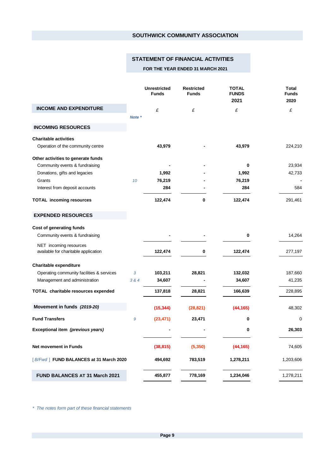#### **STATEMENT OF FINANCIAL ACTIVITIES**

#### **FOR THE YEAR ENDED 31 MARCH 2021**

|                                                                |        | <b>Unrestricted</b><br><b>Funds</b> | <b>Restricted</b><br><b>Funds</b> | <b>TOTAL</b><br><b>FUNDS</b><br>2021 | <b>Total</b><br><b>Funds</b><br>2020 |
|----------------------------------------------------------------|--------|-------------------------------------|-----------------------------------|--------------------------------------|--------------------------------------|
| <b>INCOME AND EXPENDITURE</b>                                  |        | £                                   | £                                 | £                                    | £                                    |
|                                                                | Note * |                                     |                                   |                                      |                                      |
| <b>INCOMING RESOURCES</b>                                      |        |                                     |                                   |                                      |                                      |
| <b>Charitable activities</b>                                   |        |                                     |                                   |                                      |                                      |
| Operation of the community centre                              |        | 43,979                              |                                   | 43,979                               | 224,210                              |
| Other activities to generate funds                             |        |                                     |                                   |                                      |                                      |
| Community events & fundraising                                 |        |                                     |                                   | 0                                    | 23,934                               |
| Donations, gifts and legacies                                  |        | 1,992                               |                                   | 1,992                                | 42,733                               |
| Grants                                                         | 10     | 76,219                              |                                   | 76,219                               |                                      |
| Interest from deposit accounts                                 |        | 284                                 |                                   | 284                                  | 584                                  |
| <b>TOTAL incoming resources</b>                                |        | 122,474                             | 0                                 | 122,474                              | 291,461                              |
| <b>EXPENDED RESOURCES</b>                                      |        |                                     |                                   |                                      |                                      |
| Cost of generating funds                                       |        |                                     |                                   |                                      |                                      |
| Community events & fundraising                                 |        |                                     |                                   | 0                                    | 14,264                               |
| NET incoming resources<br>available for charitable application |        | 122,474                             | 0                                 | 122,474                              | 277,197                              |
| Charitable expenditure                                         |        |                                     |                                   |                                      |                                      |
| Operating community facilities & services                      | 3      | 103,211                             | 28,821                            | 132,032                              | 187,660                              |
| Management and administration                                  | 3 & 4  | 34,607                              |                                   | 34,607                               | 41,235                               |
| TOTAL charitable resources expended                            |        | 137,818                             | 28,821                            | 166,639                              | 228,895                              |
| Movement in funds (2019-20)                                    |        | (15, 344)                           | (28, 821)                         | (44, 165)                            | 48,302                               |
| <b>Fund Transfers</b>                                          | 9      | (23, 471)                           | 23,471                            | 0                                    | 0                                    |
| Exceptional item (previous years)                              |        |                                     |                                   | 0                                    | 26,303                               |
|                                                                |        |                                     |                                   |                                      |                                      |
| Net movement in Funds                                          |        | (38, 815)                           | (5,350)                           | (44, 165)                            | 74,605                               |
| [B/Fwd] FUND BALANCES at 31 March 2020                         |        | 494,692                             | 783,519                           | 1,278,211                            | 1,203,606                            |
| FUND BALANCES AT 31 March 2021                                 |        | 455,877                             | 778,169                           | 1,234,046                            | 1,278,211                            |

*\* The notes form part of these financial statements*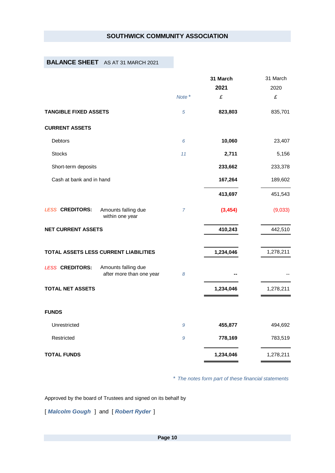#### **BALANCE SHEET** AS AT 31 MARCH 2021

|                              |                                                 |        | 31 March  | 31 March  |
|------------------------------|-------------------------------------------------|--------|-----------|-----------|
|                              |                                                 |        | 2021      | 2020      |
|                              |                                                 | Note * | £         | £         |
| <b>TANGIBLE FIXED ASSETS</b> |                                                 | 5      | 823,803   | 835,701   |
| <b>CURRENT ASSETS</b>        |                                                 |        |           |           |
| <b>Debtors</b>               |                                                 | 6      | 10,060    | 23,407    |
| <b>Stocks</b>                |                                                 | 11     | 2,711     | 5,156     |
| Short-term deposits          |                                                 |        | 233,662   | 233,378   |
| Cash at bank and in hand     |                                                 |        | 167,264   | 189,602   |
|                              |                                                 |        | 413,697   | 451,543   |
| <b>LESS CREDITORS:</b>       | Amounts falling due<br>within one year          | 7      | (3, 454)  | (9,033)   |
| <b>NET CURRENT ASSETS</b>    |                                                 |        | 410,243   | 442,510   |
|                              | TOTAL ASSETS LESS CURRENT LIABILITIES           |        | 1,234,046 | 1,278,211 |
| <b>LESS CREDITORS:</b>       | Amounts falling due<br>after more than one year | 8      |           |           |
| <b>TOTAL NET ASSETS</b>      |                                                 |        | 1,234,046 | 1,278,211 |
| <b>FUNDS</b>                 |                                                 |        |           |           |
| Unrestricted                 |                                                 | 9      | 455,877   | 494,692   |
| Restricted                   |                                                 | 9      | 778,169   | 783,519   |
| <b>TOTAL FUNDS</b>           |                                                 |        | 1,234,046 | 1,278,211 |

*\* The notes form part of these financial statements*

Approved by the board of Trustees and signed on its behalf by

[ *Malcolm Gough* ] and [ *Robert Ryder* ]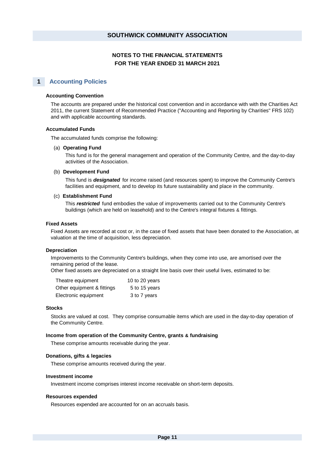#### **1 Accounting Policies**

#### **Accounting Convention**

The accounts are prepared under the historical cost convention and in accordance with with the Charities Act 2011, the current Statement of Recommended Practice ("Accounting and Reporting by Charities" FRS 102) and with applicable accounting standards.

#### **Accumulated Funds**

The accumulated funds comprise the following:

#### (a) **Operating Fund**

This fund is for the general management and operation of the Community Centre, and the day-to-day activities of the Association.

#### (b) **Development Fund**

This fund is *designated* for income raised (and resources spent) to improve the Community Centre's facilities and equipment, and to develop its future sustainability and place in the community.

#### (c) **Establishment Fund**

This *restricted* fund embodies the value of improvements carried out to the Community Centre's buildings (which are held on leasehold) and to the Centre's integral fixtures & fittings.

#### **Fixed Assets**

Fixed Assets are recorded at cost or, in the case of fixed assets that have been donated to the Association, at valuation at the time of acquisition, less depreciation.

#### **Depreciation**

Improvements to the Community Centre's buildings, when they come into use, are amortised over the remaining period of the lease.

Other fixed assets are depreciated on a straight line basis over their useful lives, estimated to be:

| Theatre equipment          | 10 to 20 years |
|----------------------------|----------------|
| Other equipment & fittings | 5 to 15 years  |
| Electronic equipment       | 3 to 7 years   |

#### **Stocks**

Stocks are valued at cost. They comprise consumable items which are used in the day-to-day operation of the Community Centre.

#### **Income from operation of the Community Centre, grants & fundraising**

These comprise amounts receivable during the year.

#### **Donations, gifts & legacies**

These comprise amounts received during the year.

#### **Investment income**

Investment income comprises interest income receivable on short-term deposits.

#### **Resources expended**

Resources expended are accounted for on an accruals basis.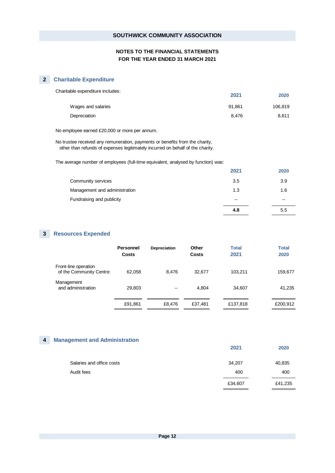#### **2 Charitable Expenditure**

| 2021   | 2020    |
|--------|---------|
| 91.861 | 106,819 |
| 8.476  | 8.611   |
|        |         |

No employee earned £20,000 or more per annum.

No trustee received any remuneration, payments or benefits from the charity, other than refunds of expenses legitimately incurred on behalf of the charity.

The average number of employees (full-time equivalent, analysed by function) was:

|                               | 2021  | 2020  |
|-------------------------------|-------|-------|
| Community services            | 3.5   | 3.9   |
| Management and administration | 1.3   | 1.6   |
| Fundraising and publicity     | $- -$ | $- -$ |
|                               | 4.8   | 5.5   |

#### **3 Resources Expended**

|                                                 | <b>Personnel</b><br><b>Costs</b> | <b>Depreciation</b> | Other<br><b>Costs</b> | <b>Total</b><br>2021 | <b>Total</b><br>2020 |
|-------------------------------------------------|----------------------------------|---------------------|-----------------------|----------------------|----------------------|
| Front-line operation<br>of the Community Centre | 62,058                           | 8.476               | 32.677                | 103.211              | 159,677              |
| Management<br>and administration                | 29,803                           | $-$                 | 4.804                 | 34,607               | 41,235               |
|                                                 | £91,861                          | £8,476              | £37,481               | £137,818             | £200,912             |

#### **4 Management and Administration**

|                           | 2021    | 2020    |
|---------------------------|---------|---------|
| Salaries and office costs | 34,207  | 40,835  |
| Audit fees                | 400     | 400     |
|                           | £34,607 | £41,235 |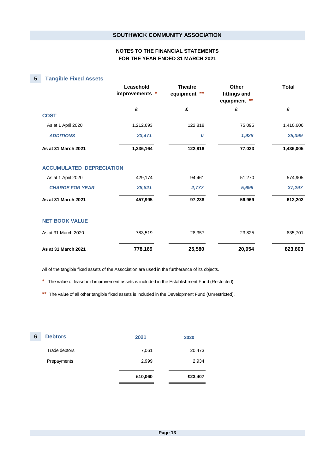#### **5 Tangible Fixed Assets**

|                                 | Leasehold<br>improvements * | <b>Theatre</b><br>equipment<br>** | Other<br>fittings and<br>equipment ** | <b>Total</b> |
|---------------------------------|-----------------------------|-----------------------------------|---------------------------------------|--------------|
|                                 | £                           | £                                 | £                                     | £            |
| <b>COST</b>                     |                             |                                   |                                       |              |
| As at 1 April 2020              | 1,212,693                   | 122,818                           | 75,095                                | 1,410,606    |
| <b>ADDITIONS</b>                | 23,471                      | $\boldsymbol{0}$                  | 1,928                                 | 25,399       |
| As at 31 March 2021             | 1,236,164                   | 122,818                           | 77,023                                | 1,436,005    |
| <b>ACCUMULATED DEPRECIATION</b> |                             |                                   |                                       |              |
| As at 1 April 2020              | 429,174                     | 94,461                            | 51,270                                | 574,905      |
| <b>CHARGE FOR YEAR</b>          | 28,821                      | 2,777                             | 5,699                                 | 37,297       |
| As at 31 March 2021             | 457,995                     | 97,238                            | 56,969                                | 612,202      |
|                                 |                             |                                   |                                       |              |
| <b>NET BOOK VALUE</b>           |                             |                                   |                                       |              |
| As at 31 March 2020             | 783,519                     | 28,357                            | 23,825                                | 835,701      |
| As at 31 March 2021             | 778,169                     | 25,580                            | 20,054                                | 823,803      |

All of the tangible fixed assets of the Association are used in the furtherance of its objects.

**\*** The value of leasehold improvement assets is included in the Establishment Fund (Restricted).

\*\* The value of all other tangible fixed assets is included in the Development Fund (Unrestricted).

| 6 | <b>Debtors</b> | 2021    | 2020    |
|---|----------------|---------|---------|
|   | Trade debtors  | 7,061   | 20,473  |
|   | Prepayments    | 2,999   | 2,934   |
|   |                | £10,060 | £23,407 |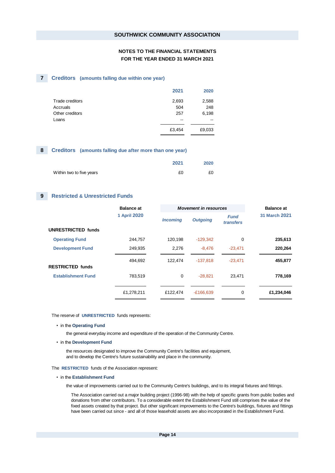#### **7 Creditors (amounts falling due within one year)**

| 2021   | 2020   |
|--------|--------|
| 2,693  | 2,588  |
| 504    | 248    |
| 257    | 6,198  |
| --     | --     |
| £3,454 | £9,033 |
|        |        |

#### **8 Creditors (amounts falling due after more than one year)**

|                          | 2021 | 2020 |
|--------------------------|------|------|
| Within two to five years | £0   | £0   |

#### **9 Restricted & Unrestricted Funds**

|                           | <b>Balance at</b> |                 | <b>Movement in resources</b> |                          | <b>Balance at</b> |
|---------------------------|-------------------|-----------------|------------------------------|--------------------------|-------------------|
|                           | 1 April 2020      | <b>Incoming</b> | <b>Outgoing</b>              | <b>Fund</b><br>transfers | 31 March 2021     |
| <b>UNRESTRICTED funds</b> |                   |                 |                              |                          |                   |
| <b>Operating Fund</b>     | 244.757           | 120.198         | $-129.342$                   | 0                        | 235,613           |
| <b>Development Fund</b>   | 249.935           | 2,276           | $-8.476$                     | $-23.471$                | 220,264           |
|                           | 494,692           | 122,474         | $-137,818$                   | $-23,471$                | 455,877           |
| <b>RESTRICTED funds</b>   |                   |                 |                              |                          |                   |
| <b>Establishment Fund</b> | 783.519           | 0               | $-28.821$                    | 23,471                   | 778,169           |
|                           | £1,278,211        | £122,474        | $-E166,639$                  | 0                        | £1,234,046        |

The reserve of **UNRESTRICTED** funds represents:

• in the **Operating Fund**

the general everyday income and expenditure of the operation of the Community Centre.

• in the **Development Fund**

the resources designated to improve the Community Centre's facilities and equipment, and to develop the Centre's future sustainability and place in the community.

- The **RESTRICTED** funds of the Association represent:
	- in the **Establishment Fund**

the value of improvements carried out to the Community Centre's buildings, and to its integral fixtures and fittings.

The Association carried out a major building project (1996-98) with the help of specific grants from public bodies and donations from other contributors. To a considerable extent the Establishment Fund still comprises the value of the fixed assets created by that project. But other significant improvements to the Centre's buildings, fixtures and fittings have been carried out since - and all of those leasehold assets are also incorporated in the Establishment Fund.